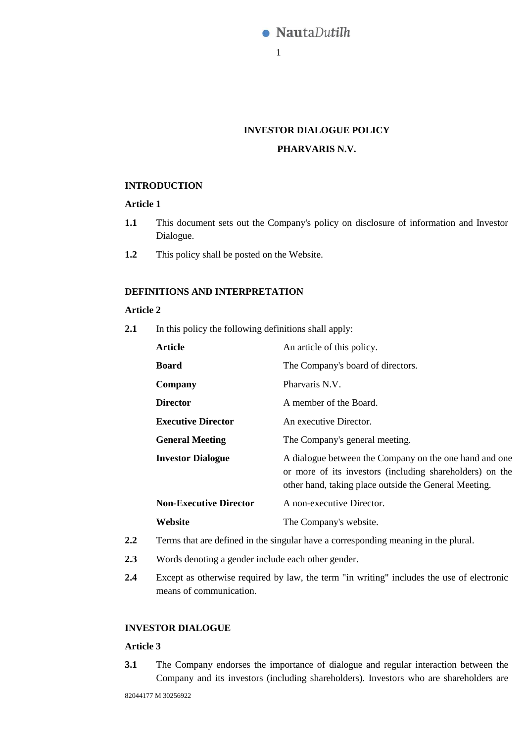

# **INVESTOR DIALOGUE POLICY**

# **PHARVARIS N.V.**

### **INTRODUCTION**

### **Article 1**

- **1.1** This document sets out the Company's policy on disclosure of information and Investor Dialogue.
- **1.2** This policy shall be posted on the Website.

## **DEFINITIONS AND INTERPRETATION**

### **Article 2**

**2.1** In this policy the following definitions shall apply:

| <b>Article</b>                | An article of this policy.                                                                                                                                                  |
|-------------------------------|-----------------------------------------------------------------------------------------------------------------------------------------------------------------------------|
| <b>Board</b>                  | The Company's board of directors.                                                                                                                                           |
| Company                       | Pharvaris N.V.                                                                                                                                                              |
| <b>Director</b>               | A member of the Board.                                                                                                                                                      |
| <b>Executive Director</b>     | An executive Director.                                                                                                                                                      |
| <b>General Meeting</b>        | The Company's general meeting.                                                                                                                                              |
| <b>Investor Dialogue</b>      | A dialogue between the Company on the one hand and one<br>or more of its investors (including shareholders) on the<br>other hand, taking place outside the General Meeting. |
| <b>Non-Executive Director</b> | A non-executive Director.                                                                                                                                                   |
| Website                       | The Company's website.                                                                                                                                                      |

- **2.2** Terms that are defined in the singular have a corresponding meaning in the plural.
- **2.3** Words denoting a gender include each other gender.
- **2.4** Except as otherwise required by law, the term "in writing" includes the use of electronic means of communication.

## **INVESTOR DIALOGUE**

### **Article 3**

**3.1** The Company endorses the importance of dialogue and regular interaction between the Company and its investors (including shareholders). Investors who are shareholders are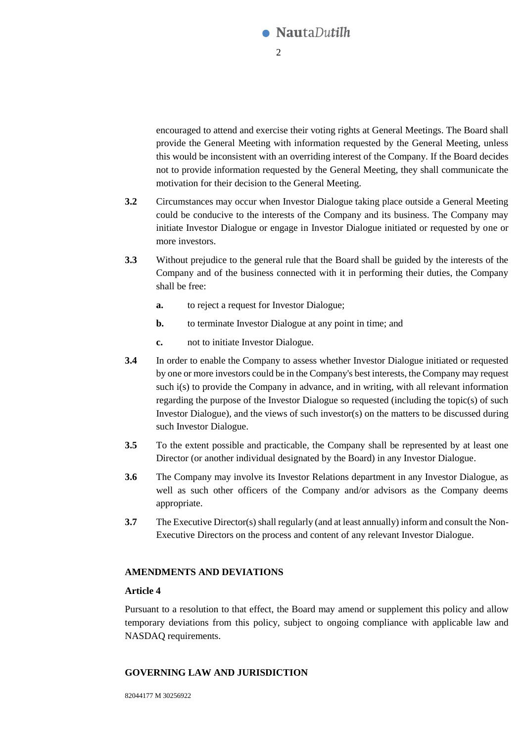

encouraged to attend and exercise their voting rights at General Meetings. The Board shall provide the General Meeting with information requested by the General Meeting, unless this would be inconsistent with an overriding interest of the Company. If the Board decides not to provide information requested by the General Meeting, they shall communicate the motivation for their decision to the General Meeting.

- **3.2** Circumstances may occur when Investor Dialogue taking place outside a General Meeting could be conducive to the interests of the Company and its business. The Company may initiate Investor Dialogue or engage in Investor Dialogue initiated or requested by one or more investors.
- **3.3** Without prejudice to the general rule that the Board shall be guided by the interests of the Company and of the business connected with it in performing their duties, the Company shall be free:
	- **a.** to reject a request for Investor Dialogue;
	- **b.** to terminate Investor Dialogue at any point in time; and
	- **c.** not to initiate Investor Dialogue.
- **3.4** In order to enable the Company to assess whether Investor Dialogue initiated or requested by one or more investors could be in the Company's best interests, the Company may request such i(s) to provide the Company in advance, and in writing, with all relevant information regarding the purpose of the Investor Dialogue so requested (including the topic(s) of such Investor Dialogue), and the views of such investor(s) on the matters to be discussed during such Investor Dialogue.
- **3.5** To the extent possible and practicable, the Company shall be represented by at least one Director (or another individual designated by the Board) in any Investor Dialogue.
- **3.6** The Company may involve its Investor Relations department in any Investor Dialogue, as well as such other officers of the Company and/or advisors as the Company deems appropriate.
- **3.7** The Executive Director(s) shall regularly (and at least annually) inform and consult the Non-Executive Directors on the process and content of any relevant Investor Dialogue.

### **AMENDMENTS AND DEVIATIONS**

### **Article 4**

Pursuant to a resolution to that effect, the Board may amend or supplement this policy and allow temporary deviations from this policy, subject to ongoing compliance with applicable law and NASDAQ requirements.

### **GOVERNING LAW AND JURISDICTION**